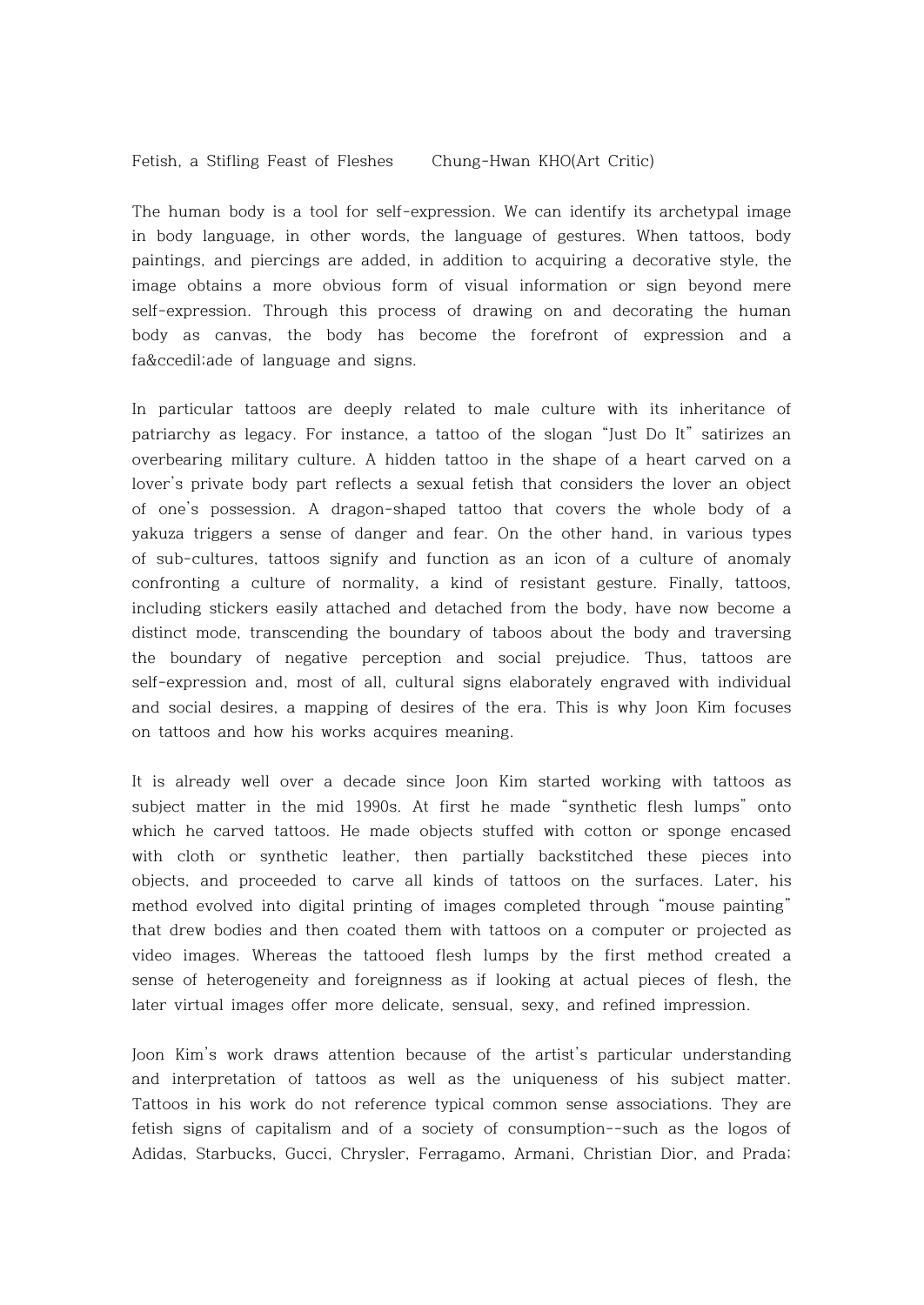Fetish, a Stifling Feast of Fleshes Chung-Hwan KHO(Art Critic)

The human body is a tool for self-expression. We can identify its archetypal image in body language, in other words, the language of gestures. When tattoos, body paintings, and piercings are added, in addition to acquiring a decorative style, the image obtains a more obvious form of visual information or sign beyond mere self-expression. Through this process of drawing on and decorating the human body as canvas, the body has become the forefront of expression and a faç ade of language and signs.

In particular tattoos are deeply related to male culture with its inheritance of patriarchy as legacy. For instance, a tattoo of the slogan "Just Do It" satirizes an overbearing military culture. A hidden tattoo in the shape of a heart carved on a lover's private body part reflects a sexual fetish that considers the lover an object of one's possession. A dragon-shaped tattoo that covers the whole body of a yakuza triggers a sense of danger and fear. On the other hand, in various types of sub-cultures, tattoos signify and function as an icon of a culture of anomaly confronting a culture of normality, a kind of resistant gesture. Finally, tattoos, including stickers easily attached and detached from the body, have now become a distinct mode, transcending the boundary of taboos about the body and traversing the boundary of negative perception and social prejudice. Thus, tattoos are self-expression and, most of all, cultural signs elaborately engraved with individual and social desires, a mapping of desires of the era. This is why Joon Kim focuses on tattoos and how his works acquires meaning.

It is already well over a decade since Joon Kim started working with tattoos as subject matter in the mid 1990s. At first he made "synthetic flesh lumps" onto which he carved tattoos. He made objects stuffed with cotton or sponge encased with cloth or synthetic leather, then partially backstitched these pieces into objects, and proceeded to carve all kinds of tattoos on the surfaces. Later, his method evolved into digital printing of images completed through "mouse painting" that drew bodies and then coated them with tattoos on a computer or projected as video images. Whereas the tattooed flesh lumps by the first method created a sense of heterogeneity and foreignness as if looking at actual pieces of flesh, the later virtual images offer more delicate, sensual, sexy, and refined impression.

Joon Kim's work draws attention because of the artist's particular understanding and interpretation of tattoos as well as the uniqueness of his subject matter. Tattoos in his work do not reference typical common sense associations. They are fetish signs of capitalism and of a society of consumption--such as the logos of Adidas, Starbucks, Gucci, Chrysler, Ferragamo, Armani, Christian Dior, and Prada;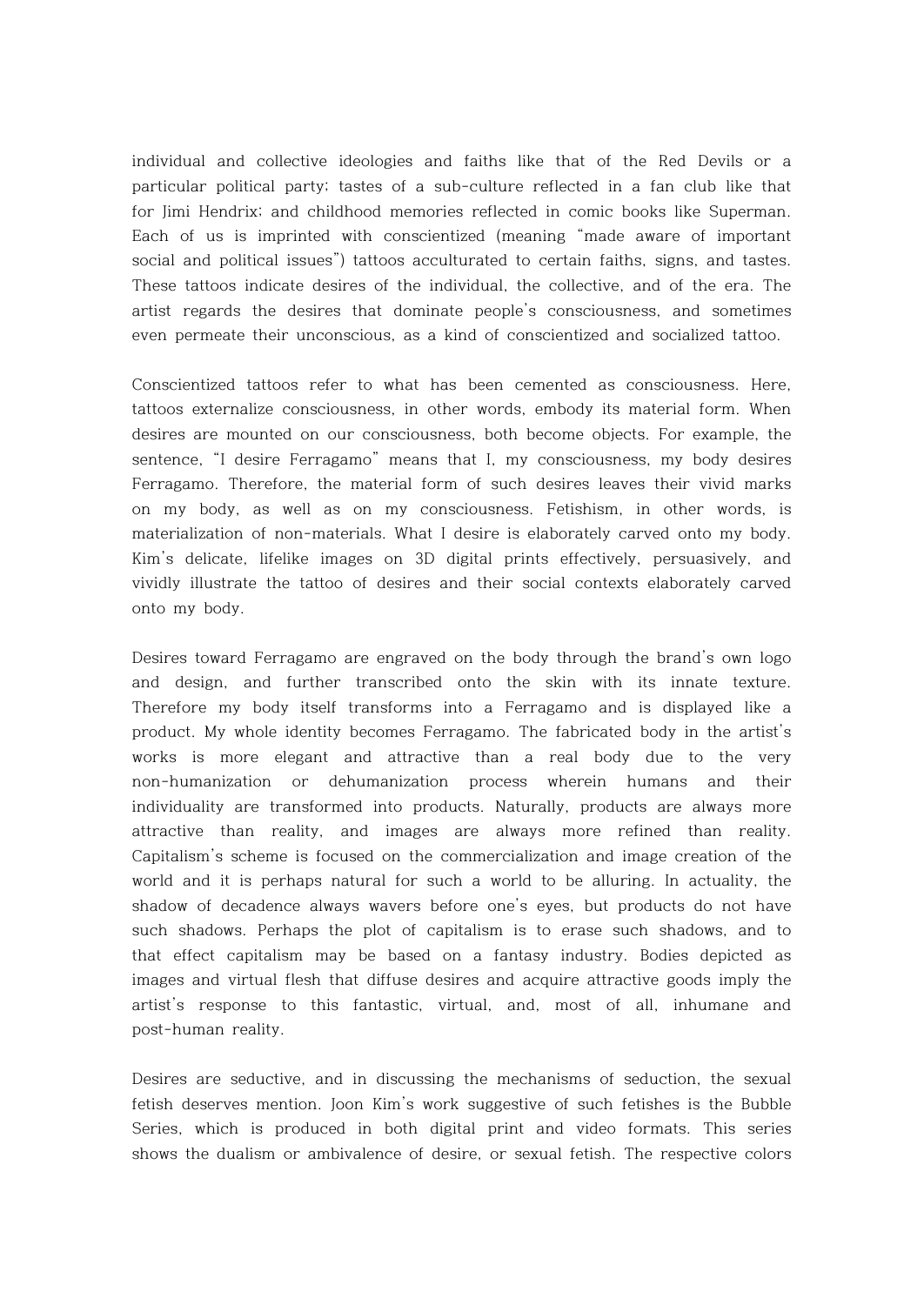individual and collective ideologies and faiths like that of the Red Devils or a particular political party; tastes of a sub-culture reflected in a fan club like that for Jimi Hendrix; and childhood memories reflected in comic books like Superman. Each of us is imprinted with conscientized (meaning "made aware of important social and political issues") tattoos acculturated to certain faiths, signs, and tastes. These tattoos indicate desires of the individual, the collective, and of the era. The artist regards the desires that dominate people's consciousness, and sometimes even permeate their unconscious, as a kind of conscientized and socialized tattoo.

Conscientized tattoos refer to what has been cemented as consciousness. Here, tattoos externalize consciousness, in other words, embody its material form. When desires are mounted on our consciousness, both become objects. For example, the sentence, "I desire Ferragamo" means that I, my consciousness, my body desires Ferragamo. Therefore, the material form of such desires leaves their vivid marks on my body, as well as on my consciousness. Fetishism, in other words, is materialization of non-materials. What I desire is elaborately carved onto my body. Kim's delicate, lifelike images on 3D digital prints effectively, persuasively, and vividly illustrate the tattoo of desires and their social contexts elaborately carved onto my body.

Desires toward Ferragamo are engraved on the body through the brand's own logo and design, and further transcribed onto the skin with its innate texture. Therefore my body itself transforms into a Ferragamo and is displayed like a product. My whole identity becomes Ferragamo. The fabricated body in the artist's works is more elegant and attractive than a real body due to the very non-humanization or dehumanization process wherein humans and their individuality are transformed into products. Naturally, products are always more attractive than reality, and images are always more refined than reality. Capitalism's scheme is focused on the commercialization and image creation of the world and it is perhaps natural for such a world to be alluring. In actuality, the shadow of decadence always wavers before one's eyes, but products do not have such shadows. Perhaps the plot of capitalism is to erase such shadows, and to that effect capitalism may be based on a fantasy industry. Bodies depicted as images and virtual flesh that diffuse desires and acquire attractive goods imply the artist's response to this fantastic, virtual, and, most of all, inhumane and post-human reality.

Desires are seductive, and in discussing the mechanisms of seduction, the sexual fetish deserves mention. Joon Kim's work suggestive of such fetishes is the Bubble Series, which is produced in both digital print and video formats. This series shows the dualism or ambivalence of desire, or sexual fetish. The respective colors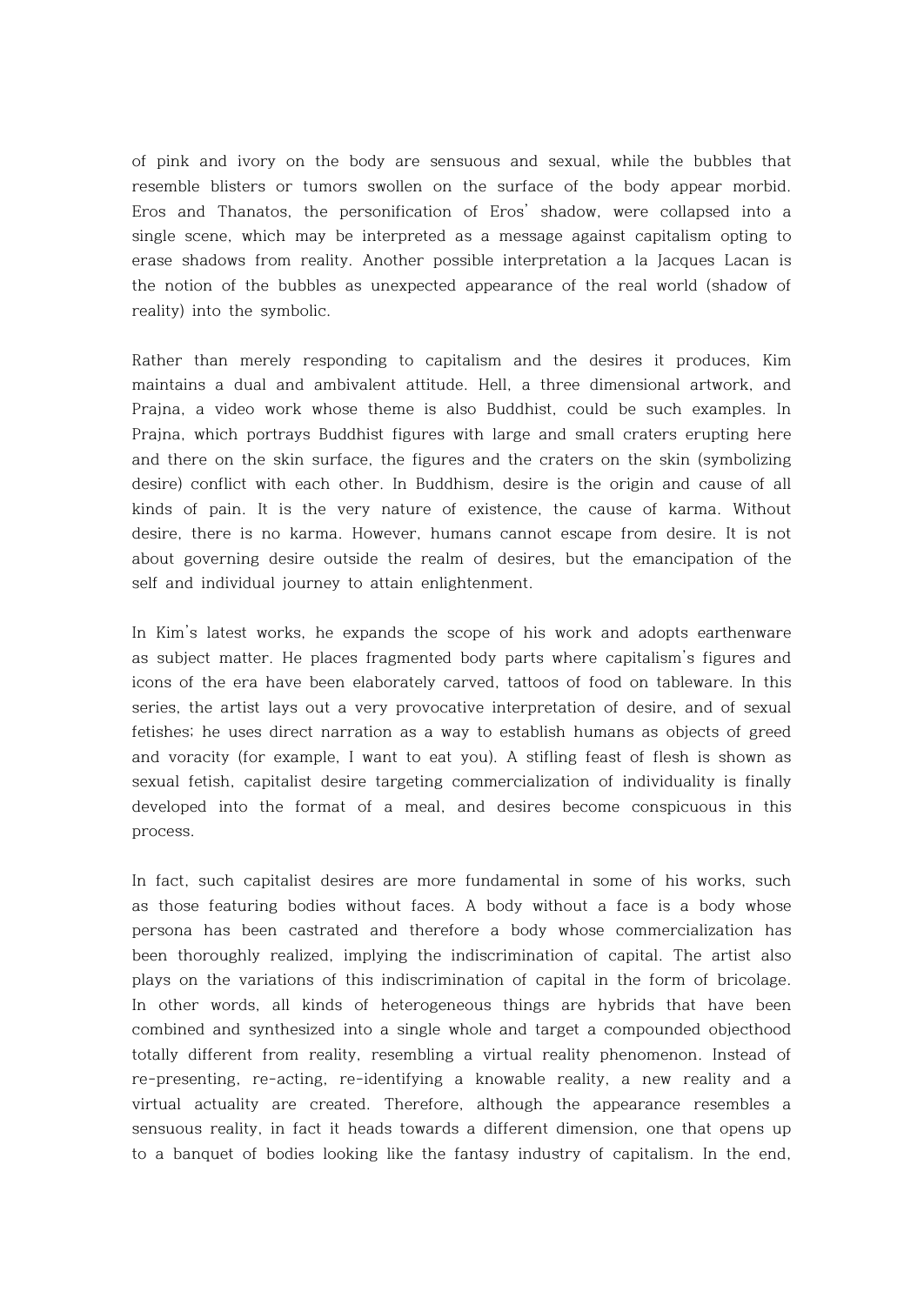of pink and ivory on the body are sensuous and sexual, while the bubbles that resemble blisters or tumors swollen on the surface of the body appear morbid. Eros and Thanatos, the personification of Eros' shadow, were collapsed into a single scene, which may be interpreted as a message against capitalism opting to erase shadows from reality. Another possible interpretation a la Jacques Lacan is the notion of the bubbles as unexpected appearance of the real world (shadow of reality) into the symbolic.

Rather than merely responding to capitalism and the desires it produces, Kim maintains a dual and ambivalent attitude. Hell, a three dimensional artwork, and Prajna, a video work whose theme is also Buddhist, could be such examples. In Prajna, which portrays Buddhist figures with large and small craters erupting here and there on the skin surface, the figures and the craters on the skin (symbolizing desire) conflict with each other. In Buddhism, desire is the origin and cause of all kinds of pain. It is the very nature of existence, the cause of karma. Without desire, there is no karma. However, humans cannot escape from desire. It is not about governing desire outside the realm of desires, but the emancipation of the self and individual journey to attain enlightenment.

In Kim's latest works, he expands the scope of his work and adopts earthenware as subject matter. He places fragmented body parts where capitalism's figures and icons of the era have been elaborately carved, tattoos of food on tableware. In this series, the artist lays out a very provocative interpretation of desire, and of sexual fetishes; he uses direct narration as a way to establish humans as objects of greed and voracity (for example, I want to eat you). A stifling feast of flesh is shown as sexual fetish, capitalist desire targeting commercialization of individuality is finally developed into the format of a meal, and desires become conspicuous in this process.

In fact, such capitalist desires are more fundamental in some of his works, such as those featuring bodies without faces. A body without a face is a body whose persona has been castrated and therefore a body whose commercialization has been thoroughly realized, implying the indiscrimination of capital. The artist also plays on the variations of this indiscrimination of capital in the form of bricolage. In other words, all kinds of heterogeneous things are hybrids that have been combined and synthesized into a single whole and target a compounded objecthood totally different from reality, resembling a virtual reality phenomenon. Instead of re-presenting, re-acting, re-identifying a knowable reality, a new reality and a virtual actuality are created. Therefore, although the appearance resembles a sensuous reality, in fact it heads towards a different dimension, one that opens up to a banquet of bodies looking like the fantasy industry of capitalism. In the end,